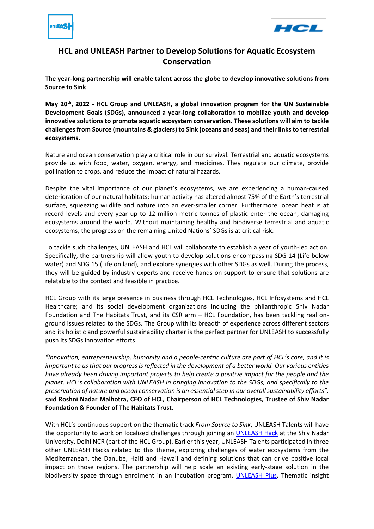



## **HCL and UNLEASH Partner to Develop Solutions for Aquatic Ecosystem Conservation**

**The year-long partnership will enable talent across the globe to develop innovative solutions from Source to Sink**

**May 20th, 2022 - HCL Group and UNLEASH, a global innovation program for the UN Sustainable Development Goals (SDGs), announced a year-long collaboration to mobilize youth and develop innovative solutions to promote aquatic ecosystem conservation. These solutions will aim to tackle challenges from Source (mountains & glaciers) to Sink (oceans and seas) and their links to terrestrial ecosystems.**

Nature and ocean conservation play a critical role in our survival. Terrestrial and aquatic ecosystems provide us with food, water, oxygen, energy, and medicines. They regulate our climate, provide pollination to crops, and reduce the impact of natural hazards.

Despite the vital importance of our planet's ecosystems, we are experiencing a human-caused deterioration of our natural habitats: human activity has altered almost 75% of the Earth's terrestrial surface, squeezing wildlife and nature into an ever-smaller corner. Furthermore, ocean heat is at record levels and every year up to 12 million metric tonnes of plastic enter the ocean, damaging ecosystems around the world. Without maintaining healthy and biodiverse terrestrial and aquatic ecosystems, the progress on the remaining United Nations' SDGs is at critical risk.

To tackle such challenges, UNLEASH and HCL will collaborate to establish a year of youth-led action. Specifically, the partnership will allow youth to develop solutions encompassing SDG 14 (Life below water) and SDG 15 (Life on land), and explore synergies with other SDGs as well. During the process, they will be guided by industry experts and receive hands-on support to ensure that solutions are relatable to the context and feasible in practice.

HCL Group with its large presence in business through HCL Technologies, HCL Infosystems and HCL Healthcare; and its social development organizations including the philanthropic Shiv Nadar Foundation and The Habitats Trust, and its CSR arm – HCL Foundation, has been tackling real onground issues related to the SDGs. The Group with its breadth of experience across different sectors and its holistic and powerful sustainability charter is the perfect partner for UNLEASH to successfully push its SDGs innovation efforts.

*"Innovation, entrepreneurship, humanity and a people-centric culture are part of HCL's core, and it is important to us that our progress is reflected in the development of a better world. Our various entities have already been driving important projects to help create a positive impact for the people and the planet. HCL's collaboration with UNLEASH in bringing innovation to the SDGs, and specifically to the preservation of nature and ocean conservation is an essential step in our overall sustainability efforts",* said **Roshni Nadar Malhotra, CEO of HCL, Chairperson of HCL Technologies, Trustee of Shiv Nadar Foundation & Founder of The Habitats Trust.**

With HCL's continuous support on the thematic track *From Source to Sink*, UNLEASH Talents will have the opportunity to work on localized challenges through joining an [UNLEASH Hack](http://www.unleash.org/hacks) at the Shiv Nadar University, Delhi NCR (part of the HCL Group). Earlier this year, UNLEASH Talents participated in three other UNLEASH Hacks related to this theme, exploring challenges of water ecosystems from the Mediterranean, the Danube, Haiti and Hawaii and defining solutions that can drive positive local impact on those regions. The partnership will help scale an existing early-stage solution in the biodiversity space through enrolment in an incubation program, [UNLEASH Plus.](http://www.unleash.org/plus) Thematic insight